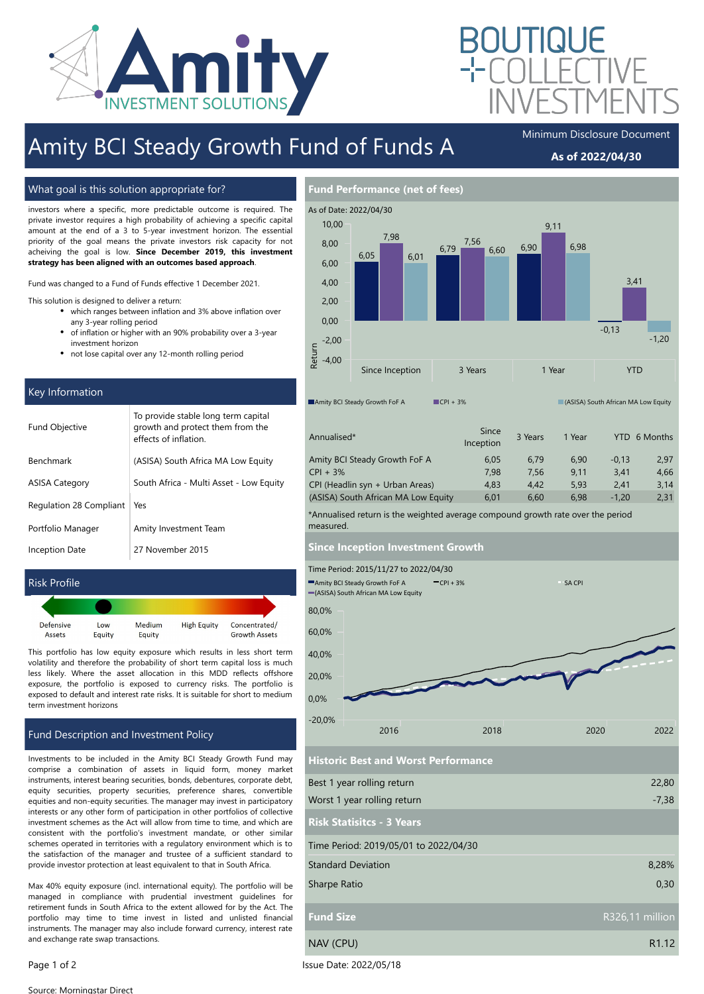

# Amity BCI Steady Growth Fund of Funds A

### As of 2022/04/30

#### What goal is this solution appropriate for?

investors where a specific, more predictable outcome is required. The private investor requires a high probability of achieving a specific capital amount at the end of a 3 to 5-year investment horizon. The essential priority of the goal means the private investors risk capacity for not acheiving the goal is low. Since December 2019, this investment strategy has been aligned with an outcomes based approach.

This strategy is suitable for the short term, essential goals of private

Fund was changed to a Fund of Funds effective 1 December 2021.

This solution is designed to deliver a return:

- $\bullet$ which ranges between inflation and 3% above inflation over any 3-year rolling period
- $\bullet$ of inflation or higher with an 90% probability over a 3-year investment horizon
- not lose capital over any 12-month rolling period

#### Key Information

| <b>Fund Objective</b>   | To provide stable long term capital<br>growth and protect them from the<br>effects of inflation |
|-------------------------|-------------------------------------------------------------------------------------------------|
| Benchmark               | (ASISA) South Africa MA Low Equity                                                              |
| <b>ASISA Category</b>   | South Africa - Multi Asset - Low Equity                                                         |
| Regulation 28 Compliant | Yes                                                                                             |
| Portfolio Manager       | Amity Investment Team                                                                           |
| Inception Date          | 27 November 2015                                                                                |

#### Risk Profile

| Defensive | Low    | Medium | <b>High Equity</b> | Concentrated/        |
|-----------|--------|--------|--------------------|----------------------|
| Assets    | Equity | Equity |                    | <b>Growth Assets</b> |

This portfolio has low equity exposure which results in less short term volatility and therefore the probability of short term capital loss is much less likely. Where the asset allocation in this MDD reflects offshore exposure, the portfolio is exposed to currency risks. The portfolio is exposed to default and interest rate risks. It is suitable for short to medium term investment horizons

#### Fund Description and Investment Policy

Investments to be included in the Amity BCI Steady Growth Fund may comprise a combination of assets in liquid form, money market instruments, interest bearing securities, bonds, debentures, corporate debt, equity securities, property securities, preference shares, convertible equities and non-equity securities. The manager may invest in participatory interests or any other form of participation in other portfolios of collective investment schemes as the Act will allow from time to time, and which are consistent with the portfolio's investment mandate, or other similar schemes operated in territories with a regulatory environment which is to the satisfaction of the manager and trustee of a sufficient standard to provide investor protection at least equivalent to that in South Africa.

Max 40% equity exposure (incl. international equity). The portfolio will be managed in compliance with prudential investment guidelines for retirement funds in South Africa to the extent allowed for by the Act. The portfolio may time to time invest in listed and unlisted financial instruments. The manager may also include forward currency, interest rate and exchange rate swap transactions.

| As of Date: 2022/04/30        |                 |      |         |            |        |      |            |                                     |      |         |      |         |
|-------------------------------|-----------------|------|---------|------------|--------|------|------------|-------------------------------------|------|---------|------|---------|
| 10,00                         |                 |      |         |            |        |      |            | 9,11                                |      |         |      |         |
| 8,00                          |                 | 7,98 |         | 6,79       | 7,56   | 6,60 | 6,90       |                                     | 6,98 |         |      |         |
| 6,00                          | 6,05            |      | 6,01    |            |        |      |            |                                     |      |         |      |         |
| 4,00                          |                 |      |         |            |        |      |            |                                     |      |         | 3,41 |         |
| 2,00                          |                 |      |         |            |        |      |            |                                     |      |         |      |         |
| 0,00                          |                 |      |         |            |        |      |            |                                     |      | $-0,13$ |      |         |
| $-2,00$                       |                 |      |         |            |        |      |            |                                     |      |         |      | $-1,20$ |
| Return<br>$-4,00$             |                 |      |         |            |        |      |            |                                     |      |         |      |         |
|                               | Since Inception |      | 3 Years |            | 1 Year |      | <b>YTD</b> |                                     |      |         |      |         |
| Amity BCI Steady Growth FoF A |                 |      |         | $CPI + 3%$ |        |      |            | (ASISA) South African MA Low Equity |      |         |      |         |

| Annualised*                         | Since<br>Inception | 3 Years | 1 Year |         | YTD 6 Months |
|-------------------------------------|--------------------|---------|--------|---------|--------------|
| Amity BCI Steady Growth FoF A       | 6.05               | 6.79    | 6.90   | $-0.13$ | 2.97         |
| $CPI + 3%$                          | 7.98               | 7.56    | 9.11   | 3.41    | 4.66         |
| CPI (Headlin syn + Urban Areas)     | 4.83               | 4.42    | 5.93   | 2.41    | 3.14         |
| (ASISA) South African MA Low Equity | 6.01               | 6.60    | 6.98   | $-1.20$ | 2,31         |
|                                     |                    |         |        |         |              |

\*Annualised return is the weighted average compound growth rate over the period measured.

#### Since Inception Investment Growth

Fund Performance (net of fees)



Historic Best and Worst Performance

| Best 1 year rolling return            | 22,80             |
|---------------------------------------|-------------------|
| Worst 1 year rolling return           | $-7,38$           |
| <b>Risk Statisitcs - 3 Years</b>      |                   |
| Time Period: 2019/05/01 to 2022/04/30 |                   |
| <b>Standard Deviation</b>             | 8,28%             |
| Sharpe Ratio                          | 0,30              |
| <b>Fund Size</b>                      | R326,11 million   |
| NAV (CPU)                             | R <sub>1.12</sub> |

Page 1 of 2 Issue Date: 2022/05/18

Source: Morningstar Direct